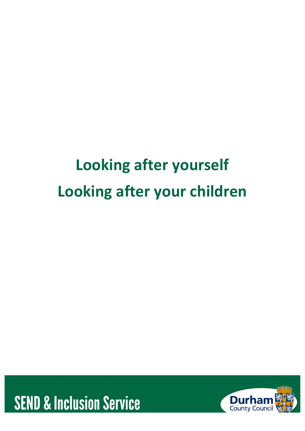# **Looking after yourself Looking after your children**



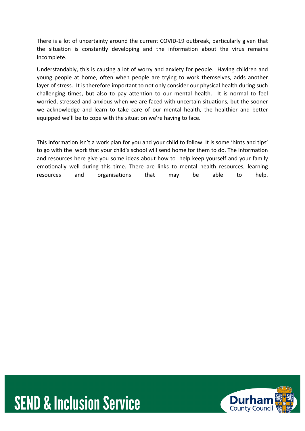There is a lot of uncertainty around the current COVID-19 outbreak, particularly given that the situation is constantly developing and the information about the virus remains incomplete.

Understandably, this is causing a lot of worry and anxiety for people. Having children and young people at home, often when people are trying to work themselves, adds another layer of stress. It is therefore important to not only consider our physical health during such challenging times, but also to pay attention to our mental health. It is normal to feel worried, stressed and anxious when we are faced with uncertain situations, but the sooner we acknowledge and learn to take care of our mental health, the healthier and better equipped we'll be to cope with the situation we're having to face.

This information isn't a work plan for you and your child to follow. It is some 'hints and tips' to go with the work that your child's school will send home for them to do. The information and resources here give you some ideas about how to help keep yourself and your family emotionally well during this time. There are links to mental health resources, learning resources and organisations that may be able to help.



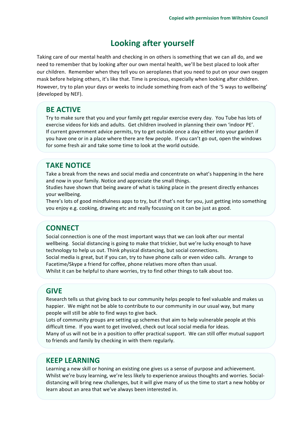# **Looking after yourself**

Taking care of our mental health and checking in on others is something that we can all do, and we need to remember that by looking after our own mental health, we'll be best placed to look after our children. Remember when they tell you on aeroplanes that you need to put on your own oxygen mask before helping others, it's like that. Time is precious, especially when looking after children. However, try to plan your days or weeks to include something from each of the '5 ways to wellbeing' (developed by NEF).

## **BE ACTIVE**

Try to make sure that you and your family get regular exercise every day. You Tube has lots of exercise videos for kids and adults. Get children involved in planning their own 'indoor PE'. If current government advice permits, try to get outside once a day either into your garden if you have one or in a place where there are few people. If you can't go out, open the windows for some fresh air and take some time to look at the world outside.

## **TAKE NOTICE**

Take a break from the news and social media and concentrate on what's happening in the here and now in your family. Notice and appreciate the small things.

Studies have shown that being aware of what is taking place in the present directly enhances your wellbeing.

There's lots of good mindfulness apps to try, but if that's not for you, just getting into something you enjoy e.g. cooking, drawing etc and really focussing on it can be just as good.

# **CONNECT**

Social connection is one of the most important ways that we can look after our mental wellbeing. Social distancing is going to make that trickier, but we're lucky enough to have technology to help us out. Think physical distancing, but social connections. Social media is great, but if you can, try to have phone calls or even video calls. Arrange to Facetime/Skype a friend for coffee, phone relatives more often than usual. Whilst it can be helpful to share worries, try to find other things to talk about too.

## **GIVE**

Research tells us that giving back to our community helps people to feel valuable and makes us happier. We might not be able to contribute to our community in our usual way, but many people will still be able to find ways to give back.

Lots of community groups are setting up schemes that aim to help vulnerable people at this difficult time. If you want to get involved, check out local social media for ideas. Many of us will not be in a position to offer practical support. We can still offer mutual support

to friends and family by checking in with them regularly.

# **KEEP LEARNING**

Learning a new skill or honing an existing one gives us a sense of purpose and achievement. Whilst we're busy learning, we're less likely to experience anxious thoughts and worries. Socialdistancing will bring new challenges, but it will give many of us the time to start a new hobby or learn about an area that we've always been interested in.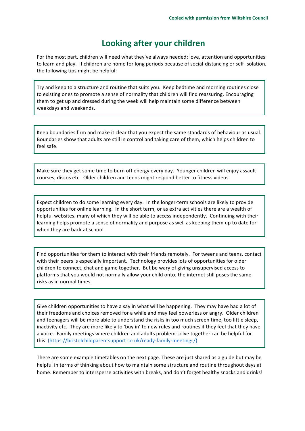# **Looking after your children**

For the most part, children will need what they've always needed; love, attention and opportunities to learn and play. If children are home for long periods because of social-distancing or self-isolation, the following tips might be helpful:

Try and keep to a structure and routine that suits you. Keep bedtime and morning routines close to existing ones to promote a sense of normality that children will find reassuring. Encouraging them to get up and dressed during the week will help maintain some difference between weekdays and weekends.

Keep boundaries firm and make it clear that you expect the same standards of behaviour as usual. Boundaries show that adults are still in control and taking care of them, which helps children to feel safe.

Make sure they get some time to burn off energy every day. Younger children will enjoy assault courses, discos etc. Older children and teens might respond better to fitness videos.

Expect children to do some learning every day. In the longer-term schools are likely to provide opportunities for online learning. In the short term, or as extra activities there are a wealth of helpful websites, many of which they will be able to access independently. Continuing with their learning helps promote a sense of normality and purpose as well as keeping them up to date for when they are back at school.

Find opportunities for them to interact with their friends remotely. For tweens and teens, contact with their peers is especially important. Technology provides lots of opportunities for older children to connect, chat and game together. But be wary of giving unsupervised access to platforms that you would not normally allow your child onto; the internet still poses the same risks as in normal times.

Give children opportunities to have a say in what will be happening. They may have had a lot of their freedoms and choices removed for a while and may feel powerless or angry. Older children and teenagers will be more able to understand the risks in too much screen time, too little sleep, inactivity etc. They are more likely to 'buy in' to new rules and routines if they feel that they have a voice. Family meetings where children and adults problem-solve together can be helpful for this. (https://bristolchildparentsupport.co.uk/ready-family-meetings/)

There are some example timetables on the next page. These are just shared as a guide but may be helpful in terms of thinking about how to maintain some structure and routine throughout days at home. Remember to intersperse activities with breaks, and don't forget healthy snacks and drinks!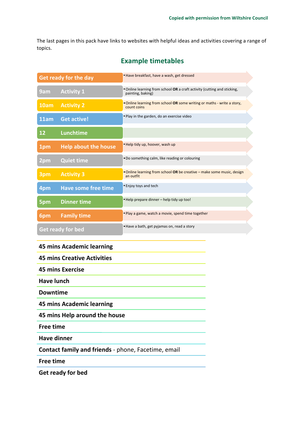The last pages in this pack have links to websites with helpful ideas and activities covering a range of topics.

| <b>Get ready for the day</b> |                             | . Have breakfast, have a wash, get dressed                                                    |
|------------------------------|-----------------------------|-----------------------------------------------------------------------------------------------|
| 9am                          | <b>Activity 1</b>           | . Online learning from school OR a craft activity (cutting and sticking,<br>painting, baking) |
| 10am                         | <b>Activity 2</b>           | . Online learning from school OR some writing or maths - write a story,<br>count coins        |
| 11am                         | <b>Get active!</b>          | . Play in the garden, do an exercise video                                                    |
| 12                           | Lunchtime                   |                                                                                               |
| 1pm                          | <b>Help about the house</b> | . Help tidy up, hoover, wash up                                                               |
| 2pm                          | <b>Quiet time</b>           | . Do something calm, like reading or colouring                                                |
| 3pm                          | <b>Activity 3</b>           | • Online learning from school OR be creative – make some music, design<br>an outfit           |
| 4pm                          | <b>Have some free time</b>  | • Enjoy toys and tech                                                                         |
| 5pm                          | <b>Dinner time</b>          | • Help prepare dinner - help tidy up too!                                                     |
| 6pm                          | <b>Family time</b>          | . Play a game, watch a movie, spend time together                                             |
| Get ready for bed            |                             | . Have a bath, get pyjamas on, read a story                                                   |

# **Example timetables**

#### **45 mins Academic learning**

#### **45 mins Creative Activities**

**45 mins Exercise** 

**Have lunch** 

**Downtime** 

**45 mins Academic learning** 

**45 mins Help around the house** 

**Free time** 

**Have dinner**

**Contact family and friends** - phone, Facetime, email

**Free time** 

**Get ready for bed**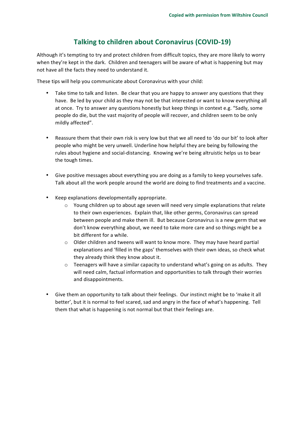# **Talking to children about Coronavirus (COVID-19)**

Although it's tempting to try and protect children from difficult topics, they are more likely to worry when they're kept in the dark. Children and teenagers will be aware of what is happening but may not have all the facts they need to understand it.

These tips will help you communicate about Coronavirus with your child:

- Take time to talk and listen. Be clear that you are happy to answer any questions that they have. Be led by your child as they may not be that interested or want to know everything all at once. Try to answer any questions honestly but keep things in context e.g. "Sadly, some people do die, but the vast majority of people will recover, and children seem to be only mildly affected".
- Reassure them that their own risk is very low but that we all need to 'do our bit' to look after people who might be very unwell. Underline how helpful they are being by following the rules about hygiene and social-distancing. Knowing we're being altruistic helps us to bear the tough times.
- Give positive messages about everything you are doing as a family to keep yourselves safe. Talk about all the work people around the world are doing to find treatments and a vaccine.
- Keep explanations developmentally appropriate.
	- $\circ$  Young children up to about age seven will need very simple explanations that relate to their own experiences. Explain that, like other germs, Coronavirus can spread between people and make them ill. But because Coronavirus is a new germ that we don't know everything about, we need to take more care and so things might be a bit different for a while.
	- $\circ$  Older children and tweens will want to know more. They may have heard partial explanations and 'filled in the gaps' themselves with their own ideas, so check what they already think they know about it.
	- $\circ$  Teenagers will have a similar capacity to understand what's going on as adults. They will need calm, factual information and opportunities to talk through their worries and disappointments.
- Give them an opportunity to talk about their feelings. Our instinct might be to 'make it all better', but it is normal to feel scared, sad and angry in the face of what's happening. Tell them that what is happening is not normal but that their feelings are.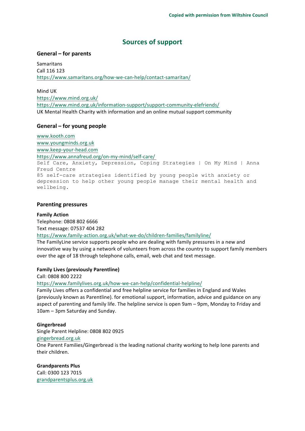# **Sources of support**

#### **General – for parents**

Samaritans Call 116 123 https://www.samaritans.org/how-we-can-help/contact-samaritan/

Mind UK https://www.mind.org.uk/ https://www.mind.org.uk/information-support/support-community-elefriends/ UK Mental Health Charity with information and an online mutual support community

#### General – for young people

www.kooth.com www.youngminds.org.uk www.keep-your-head.com https://www.annafreud.org/on-my-mind/self-care/ Self Care, Anxiety, Depression, Coping Strategies | On My Mind | Anna Freud Centre 85 self-care strategies identified by young people with anxiety or depression to help other young people manage their mental health and wellbeing.

#### **Parenting pressures**

#### **Family Action**

Telephone: 0808 802 6666 Text message: 07537 404 282

#### https://www.family-action.org.uk/what-we-do/children-families/familyline/

The FamilyLine service supports people who are dealing with family pressures in a new and innovative way by using a network of volunteers from across the country to support family members over the age of 18 through telephone calls, email, web chat and text message.

#### **Family Lives (previously Parentline)**

Call: 0808 800 2222

https://www.familylives.org.uk/how-we-can-help/confidential-helpline/

Family Lives offers a confidential and free helpline service for families in England and Wales (previously known as Parentline). for emotional support, information, advice and guidance on any aspect of parenting and family life. The helpline service is open 9am – 9pm, Monday to Friday and 10am – 3pm Saturday and Sunday.

#### **Gingerbread**

Single Parent Helpline: 0808 802 0925 gingerbread.org.uk

One Parent Families/Gingerbread is the leading national charity working to help lone parents and their children.

#### **Grandparents Plus**

Call: 0300 123 7015 grandparentsplus.org.uk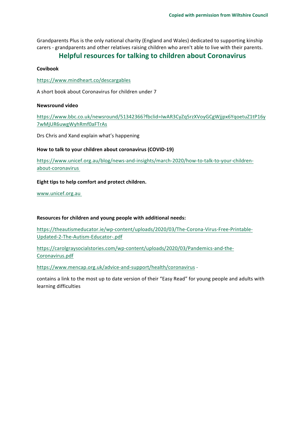Grandparents Plus is the only national charity (England and Wales) dedicated to supporting kinship carers - grandparents and other relatives raising children who aren't able to live with their parents.

## **Helpful resources for talking to children about Coronavirus**

#### **Covibook**

https://www.mindheart.co/descargables

A short book about Coronavirus for children under 7

#### **Newsround video**

https://www.bbc.co.uk/newsround/51342366?fbclid=IwAR3CyZq5rzXVoyGCgWjjpx6YqoetuZ1tP16y 7wMjUR6uwgWyhRmf0aFTrAs

Drs Chris and Xand explain what's happening

#### How to talk to your children about coronavirus (COVID-19)

https://www.unicef.org.au/blog/news-and-insights/march-2020/how-to-talk-to-your-childrenabout-coronavirus

#### Eight tips to help comfort and protect children.

www.unicef.org.au

#### Resources for children and young people with additional needs:

https://theautismeducator.ie/wp-content/uploads/2020/03/The-Corona-Virus-Free-Printable-Updated-2-The-Autism-Educator-.pdf

https://carolgraysocialstories.com/wp-content/uploads/2020/03/Pandemics-and-the-Coronavirus.pdf

https://www.mencap.org.uk/advice-and-support/health/coronavirus -

contains a link to the most up to date version of their "Easy Read" for young people and adults with learning difficulties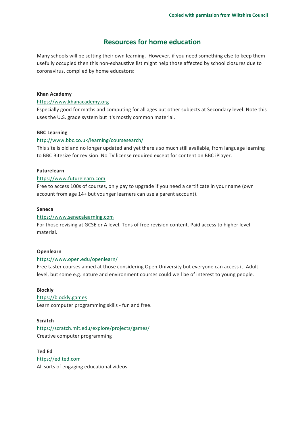# **Resources for home education**

Many schools will be setting their own learning. However, if you need something else to keep them usefully occupied then this non-exhaustive list might help those affected by school closures due to coronavirus, compiled by home educators:

#### **Khan Academy**

#### https://www.khanacademy.org

Especially good for maths and computing for all ages but other subjects at Secondary level. Note this uses the U.S. grade system but it's mostly common material.

#### **BBC Learning**

#### http://www.bbc.co.uk/learning/coursesearch/

This site is old and no longer updated and yet there's so much still available, from language learning to BBC Bitesize for revision. No TV license required except for content on BBC iPlayer.

#### **Futurelearn**

#### https://www.futurelearn.com

Free to access 100s of courses, only pay to upgrade if you need a certificate in your name (own account from age 14+ but younger learners can use a parent account).

#### **Seneca**

#### https://www.senecalearning.com

For those revising at GCSE or A level. Tons of free revision content. Paid access to higher level material.

#### **Openlearn**

#### https://www.open.edu/openlearn/

Free taster courses aimed at those considering Open University but everyone can access it. Adult level, but some e.g. nature and environment courses could well be of interest to young people.

#### **Blockly**

### https://blockly.games

Learn computer programming skills - fun and free.

#### **Scratch**

https://scratch.mit.edu/explore/projects/games/ Creative computer programming

**Ted Ed** https://ed.ted.com All sorts of engaging educational videos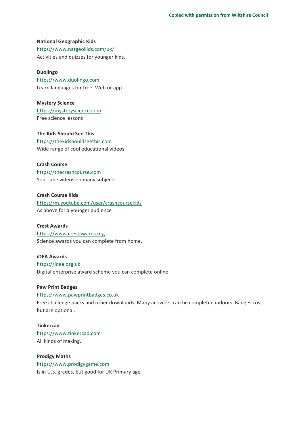**National Geographic Kids** https://www.natgeokids.com/uk/ Activities and quizzes for younger kids.

**Duolingo** https://www.duolingo.com Learn languages for free. Web or app.

**Mystery Science** https://mysteryscience.com Free science lessons

**The Kids Should See This** https://thekidshouldseethis.com Wide range of cool educational videos

**Crash Course** https://thecrashcourse.com You Tube videos on many subjects

**Crash Course Kids** https://m.youtube.com/user/crashcoursekids As above for a younger audience

**Crest Awards** https://www.crestawards.org Science awards you can complete from home.

**iDEA Awards** https://idea.org.uk Digital enterprise award scheme you can complete online.

#### **Paw Print Badges**

https://www.pawprintbadges.co.uk Free challenge packs and other downloads. Many activities can be completed indoors. Badges cost but are optional.

**Tinkercad** https://www.tinkercad.com All kinds of making.

**Prodigy Maths** https://www.prodigygame.com Is in U.S. grades, but good for UK Primary age.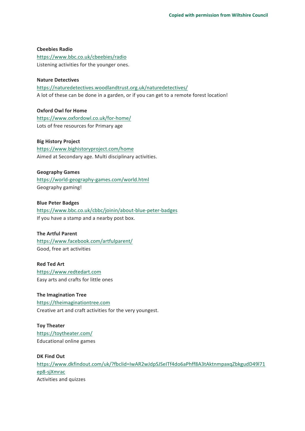**Cbeebies Radio** https://www.bbc.co.uk/cbeebies/radio Listening activities for the younger ones.

#### **Nature Detectives**

https://naturedetectives.woodlandtrust.org.uk/naturedetectives/ A lot of these can be done in a garden, or if you can get to a remote forest location!

**Oxford Owl for Home** https://www.oxfordowl.co.uk/for-home/ Lots of free resources for Primary age

#### **Big History Project**

https://www.bighistoryproject.com/home Aimed at Secondary age. Multi disciplinary activities.

#### **Geography Games**

https://world-geography-games.com/world.html Geography gaming!

**Blue Peter Badges**

https://www.bbc.co.uk/cbbc/joinin/about-blue-peter-badges If you have a stamp and a nearby post box.

#### **The Artful Parent**

https://www.facebook.com/artfulparent/ Good, free art activities

**Red Ted Art**

https://www.redtedart.com Easy arts and crafts for little ones

**The Imagination Tree** https://theimaginationtree.com Creative art and craft activities for the very youngest.

**Toy Theater** https://toytheater.com/ Educational online games

**DK** Find Out https://www.dkfindout.com/uk/?fbclid=IwAR2wJdpSJSeITf4do6aPhff8A3tAktnmpaxqZbkgudD49l71 ep8-sjXmrac Activities and quizzes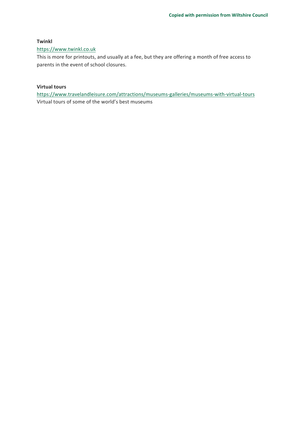#### **Twinkl**

#### https://www.twinkl.co.uk

This is more for printouts, and usually at a fee, but they are offering a month of free access to parents in the event of school closures.

#### **Virtual tours**

https://www.travelandleisure.com/attractions/museums-galleries/museums-with-virtual-tours Virtual tours of some of the world's best museums